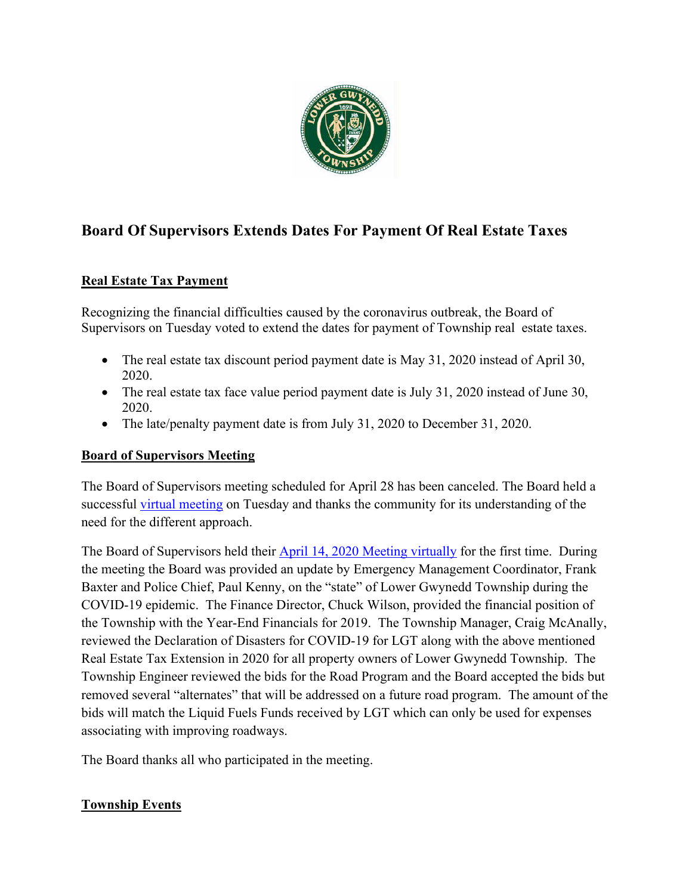

# **Board Of Supervisors Extends Dates For Payment Of Real Estate Taxes**

## **Real Estate Tax Payment**

Recognizing the financial difficulties caused by the coronavirus outbreak, the Board of Supervisors on Tuesday voted to extend the dates for payment of Township real estate taxes.

- The real estate tax discount period payment date is May 31, 2020 instead of April 30, 2020.
- The real estate tax face value period payment date is July 31, 2020 instead of June 30, 2020.
- The late/penalty payment date is from July 31, 2020 to December 31, 2020.

#### **Board of Supervisors Meeting**

The Board of Supervisors meeting scheduled for April 28 has been canceled. The Board held a successful [virtual meeting](https://www.youtube.com/watch?v=yocXj3sfGr4&list=PL6HNUb1Bgg2_zJv_A5OANJBg25ewQ57F4&index=6&t=3294s) on Tuesday and thanks the community for its understanding of the need for the different approach.

The Board of Supervisors held their [April 14, 2020 Meeting virtually](https://www.youtube.com/watch?v=yocXj3sfGr4&list=PL6HNUb1Bgg2_zJv_A5OANJBg25ewQ57F4&index=6&t=3294s) for the first time. During the meeting the Board was provided an update by Emergency Management Coordinator, Frank Baxter and Police Chief, Paul Kenny, on the "state" of Lower Gwynedd Township during the COVID-19 epidemic. The Finance Director, Chuck Wilson, provided the financial position of the Township with the Year-End Financials for 2019. The Township Manager, Craig McAnally, reviewed the Declaration of Disasters for COVID-19 for LGT along with the above mentioned Real Estate Tax Extension in 2020 for all property owners of Lower Gwynedd Township. The Township Engineer reviewed the bids for the Road Program and the Board accepted the bids but removed several "alternates" that will be addressed on a future road program. The amount of the bids will match the Liquid Fuels Funds received by LGT which can only be used for expenses associating with improving roadways.

The Board thanks all who participated in the meeting.

## **Township Events**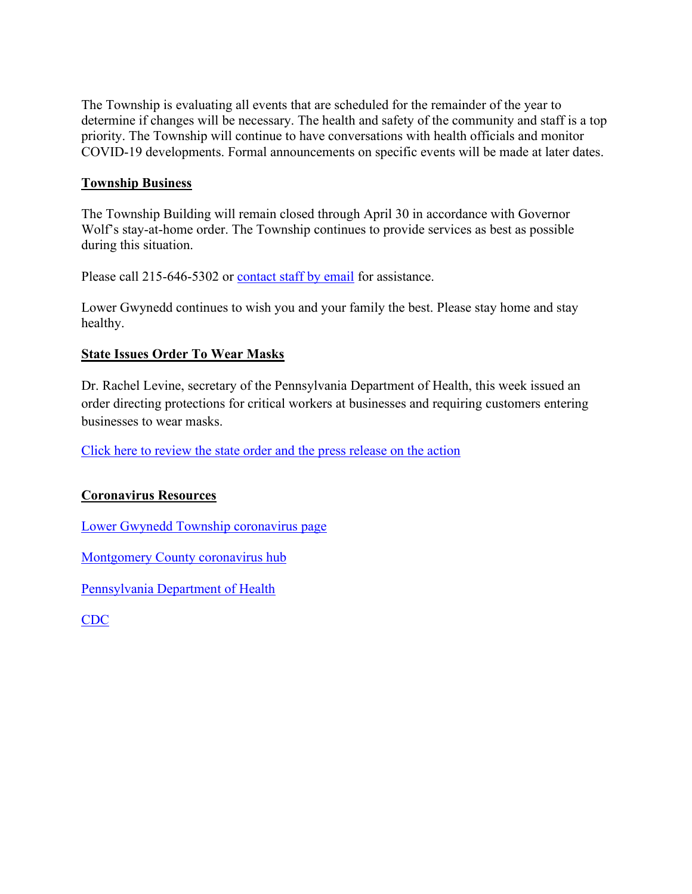The Township is evaluating all events that are scheduled for the remainder of the year to determine if changes will be necessary. The health and safety of the community and staff is a top priority. The Township will continue to have conversations with health officials and monitor COVID-19 developments. Formal announcements on specific events will be made at later dates.

#### **Township Business**

The Township Building will remain closed through April 30 in accordance with Governor Wolf's stay-at-home order. The Township continues to provide services as best as possible during this situation.

Please call 215-646-5302 or [contact staff by email](https://www.lowergwynedd.org/website-resources/contacts-directory.aspx) for assistance.

Lower Gwynedd continues to wish you and your family the best. Please stay home and stay healthy.

#### **State Issues Order To Wear Masks**

Dr. Rachel Levine, secretary of the Pennsylvania Department of Health, this week issued an order directing protections for critical workers at businesses and requiring customers entering businesses to wear masks.

[Click here to review the state order and the press release on the action](https://www.governor.pa.gov/newsroom/gov-wolf-health-secretary-signs-order-providing-worker-safety-measures-to-combat-covid-19/)

## **Coronavirus Resources**

[Lower Gwynedd Township coronavirus page](https://www.lowergwynedd.org/general-information/covid-19-coronavirus.aspx)

[Montgomery County coronavirus hub](https://data-montcopa.opendata.arcgis.com/pages/covid-19)

[Pennsylvania Department of Health](https://www.health.pa.gov/topics/disease/coronavirus/Pages/Coronavirus.aspx)

[CDC](https://www.cdc.gov/coronavirus/2019-ncov/index.html)